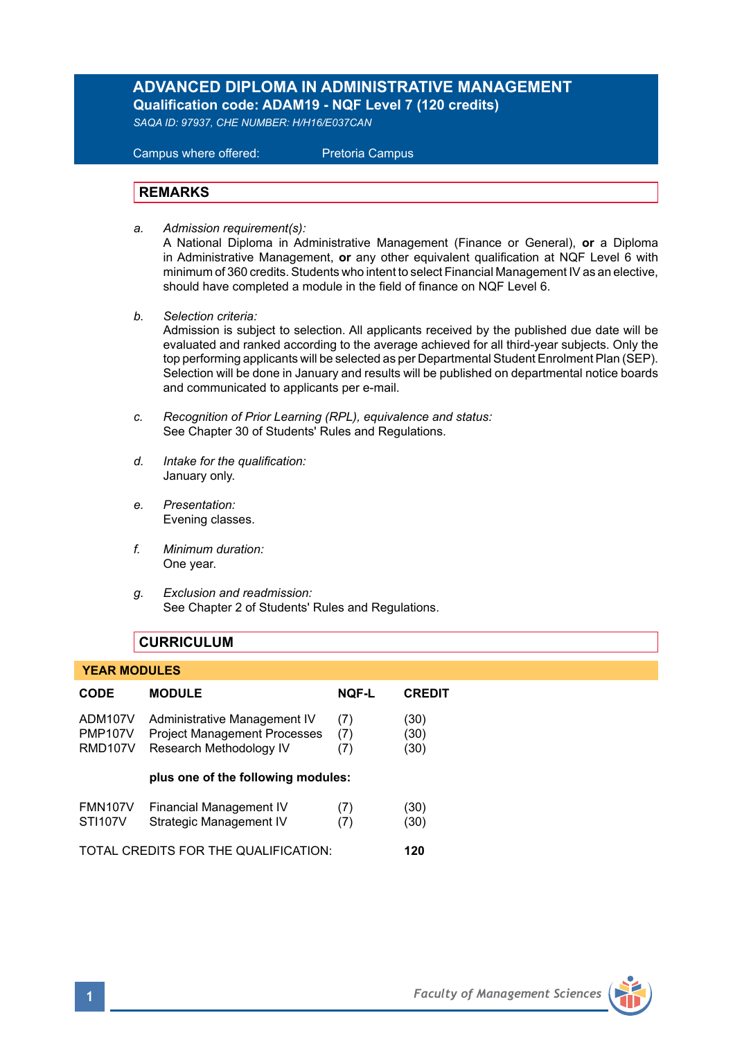# **ADVANCED DIPLOMA IN ADMINISTRATIVE MANAGEMENT Qualification code: ADAM19 - NQF Level 7 (120 credits)**

*SAQA ID: 97937, CHE NUMBER: H/H16/E037CAN* 

 Campus where offered: Pretoria Campus

# **REMARKS**

*a. Admission requirement(s):* 

A National Diploma in Administrative Management (Finance or General), **or** a Diploma in Administrative Management, **or** any other equivalent qualification at NQF Level 6 with minimum of 360 credits. Students who intent to select Financial Management IV as an elective, should have completed a module in the field of finance on NQF Level 6.

*b. Selection criteria:*

Admission is subject to selection. All applicants received by the published due date will be evaluated and ranked according to the average achieved for all third-year subjects. Only the top performing applicants will be selected as per Departmental Student Enrolment Plan (SEP). Selection will be done in January and results will be published on departmental notice boards and communicated to applicants per e-mail.

- *c. Recognition of Prior Learning (RPL), equivalence and status:* See Chapter 30 of Students' Rules and Regulations.
- *d. Intake for the qualification:* January only.
- *e. Presentation:* Evening classes.
- *f. Minimum duration:* One year.
- *g. Exclusion and readmission:* See Chapter 2 of Students' Rules and Regulations.

# **CURRICULUM**

### **YEAR MODULES**

| CODE                                        | <b>MODULE</b>                                                                                  | <b>NOF-L</b>      | <b>CREDIT</b>        |
|---------------------------------------------|------------------------------------------------------------------------------------------------|-------------------|----------------------|
| ADM107V<br><b>PMP107V</b><br><b>RMD107V</b> | Administrative Management IV<br><b>Project Management Processes</b><br>Research Methodology IV | (7)<br>(7)<br>(7) | (30)<br>(30)<br>(30) |
|                                             | plus one of the following modules:                                                             |                   |                      |
| <b>FMN107V</b><br><b>STI107V</b>            | <b>Financial Management IV</b><br>Strategic Management IV                                      | (7)<br>(7)        | (30)<br>(30)         |
| TOTAL CREDITS FOR THE QUALIFICATION:        |                                                                                                |                   | 120                  |